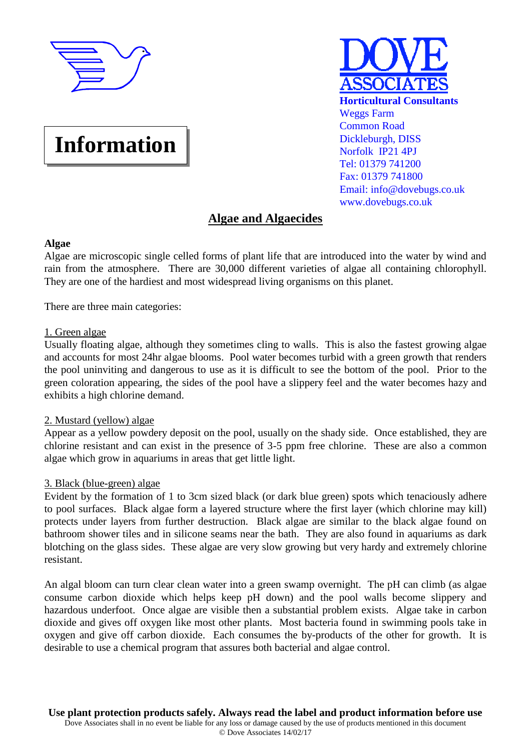

# **Information**



# **Algae and Algaecides**

## **Algae**

Algae are microscopic single celled forms of plant life that are introduced into the water by wind and rain from the atmosphere. There are 30,000 different varieties of algae all containing chlorophyll. They are one of the hardiest and most widespread living organisms on this planet.

There are three main categories:

## 1. Green algae

Usually floating algae, although they sometimes cling to walls. This is also the fastest growing algae and accounts for most 24hr algae blooms. Pool water becomes turbid with a green growth that renders the pool uninviting and dangerous to use as it is difficult to see the bottom of the pool. Prior to the green coloration appearing, the sides of the pool have a slippery feel and the water becomes hazy and exhibits a high chlorine demand.

## 2. Mustard (yellow) algae

Appear as a yellow powdery deposit on the pool, usually on the shady side. Once established, they are chlorine resistant and can exist in the presence of 3-5 ppm free chlorine. These are also a common algae which grow in aquariums in areas that get little light.

## 3. Black (blue-green) algae

Evident by the formation of 1 to 3cm sized black (or dark blue green) spots which tenaciously adhere to pool surfaces. Black algae form a layered structure where the first layer (which chlorine may kill) protects under layers from further destruction. Black algae are similar to the black algae found on bathroom shower tiles and in silicone seams near the bath. They are also found in aquariums as dark blotching on the glass sides. These algae are very slow growing but very hardy and extremely chlorine resistant.

An algal bloom can turn clear clean water into a green swamp overnight. The pH can climb (as algae consume carbon dioxide which helps keep pH down) and the pool walls become slippery and hazardous underfoot. Once algae are visible then a substantial problem exists. Algae take in carbon dioxide and gives off oxygen like most other plants. Most bacteria found in swimming pools take in oxygen and give off carbon dioxide. Each consumes the by-products of the other for growth. It is desirable to use a chemical program that assures both bacterial and algae control.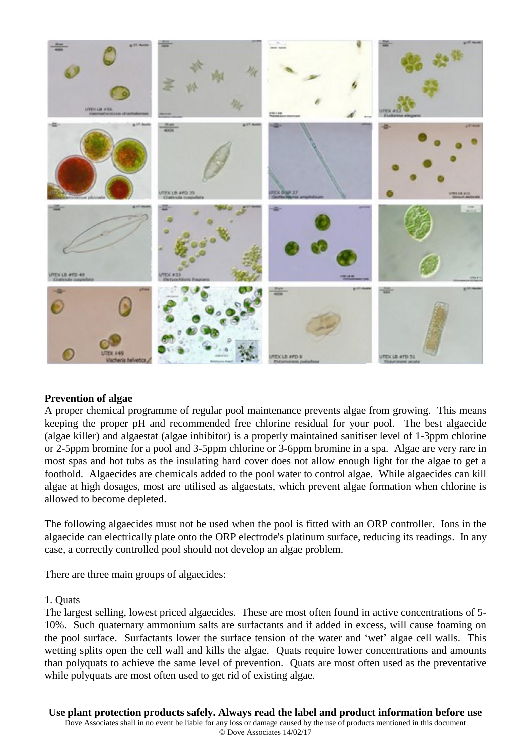

#### **Prevention of algae**

A proper chemical programme of regular pool maintenance prevents algae from growing. This means keeping the proper pH and recommended free chlorine residual for your pool. The best algaecide (algae killer) and algaestat (algae inhibitor) is a properly maintained sanitiser level of 1-3ppm chlorine or 2-5ppm bromine for a pool and 3-5ppm chlorine or 3-6ppm bromine in a spa. Algae are very rare in most spas and hot tubs as the insulating hard cover does not allow enough light for the algae to get a foothold. Algaecides are chemicals added to the pool water to control algae. While algaecides can kill algae at high dosages, most are utilised as algaestats, which prevent algae formation when chlorine is allowed to become depleted.

The following algaecides must not be used when the pool is fitted with an ORP controller. Ions in the algaecide can electrically plate onto the ORP electrode's platinum surface, reducing its readings. In any case, a correctly controlled pool should not develop an algae problem.

There are three main groups of algaecides:

#### 1. Quats

The largest selling, lowest priced algaecides. These are most often found in active concentrations of 5- 10%. Such quaternary ammonium salts are surfactants and if added in excess, will cause foaming on the pool surface. Surfactants lower the surface tension of the water and 'wet' algae cell walls. This wetting splits open the cell wall and kills the algae. Quats require lower concentrations and amounts than polyquats to achieve the same level of prevention. Quats are most often used as the preventative while polyquats are most often used to get rid of existing algae.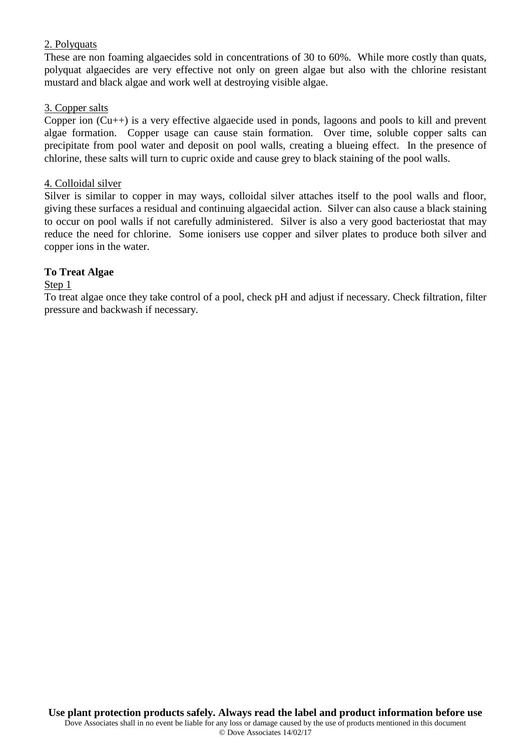## 2. Polyquats

These are non foaming algaecides sold in concentrations of 30 to 60%. While more costly than quats, polyquat algaecides are very effective not only on green algae but also with the chlorine resistant mustard and black algae and work well at destroying visible algae.

## 3. Copper salts

Copper ion (Cu++) is a very effective algaecide used in ponds, lagoons and pools to kill and prevent algae formation. Copper usage can cause stain formation. Over time, soluble copper salts can precipitate from pool water and deposit on pool walls, creating a blueing effect. In the presence of chlorine, these salts will turn to cupric oxide and cause grey to black staining of the pool walls.

#### 4. Colloidal silver

Silver is similar to copper in may ways, colloidal silver attaches itself to the pool walls and floor, giving these surfaces a residual and continuing algaecidal action. Silver can also cause a black staining to occur on pool walls if not carefully administered. Silver is also a very good bacteriostat that may reduce the need for chlorine. Some ionisers use copper and silver plates to produce both silver and copper ions in the water.

## **To Treat Algae**

#### Step 1

To treat algae once they take control of a pool, check pH and adjust if necessary. Check filtration, filter pressure and backwash if necessary.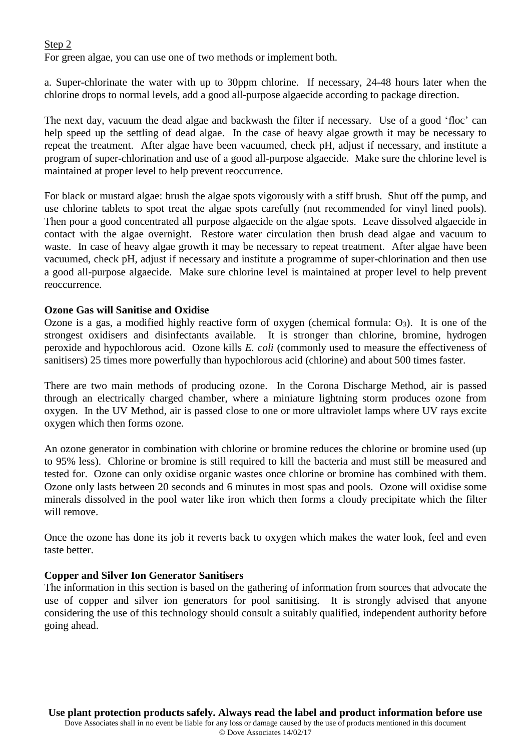## Step 2

For green algae, you can use one of two methods or implement both.

a. Super-chlorinate the water with up to 30ppm chlorine. If necessary, 24-48 hours later when the chlorine drops to normal levels, add a good all-purpose algaecide according to package direction.

The next day, vacuum the dead algae and backwash the filter if necessary. Use of a good 'floc' can help speed up the settling of dead algae. In the case of heavy algae growth it may be necessary to repeat the treatment. After algae have been vacuumed, check pH, adjust if necessary, and institute a program of super-chlorination and use of a good all-purpose algaecide. Make sure the chlorine level is maintained at proper level to help prevent reoccurrence.

For black or mustard algae: brush the algae spots vigorously with a stiff brush. Shut off the pump, and use chlorine tablets to spot treat the algae spots carefully (not recommended for vinyl lined pools). Then pour a good concentrated all purpose algaecide on the algae spots. Leave dissolved algaecide in contact with the algae overnight. Restore water circulation then brush dead algae and vacuum to waste. In case of heavy algae growth it may be necessary to repeat treatment. After algae have been vacuumed, check pH, adjust if necessary and institute a programme of super-chlorination and then use a good all-purpose algaecide. Make sure chlorine level is maintained at proper level to help prevent reoccurrence.

## **Ozone Gas will Sanitise and Oxidise**

Ozone is a gas, a modified highly reactive form of oxygen (chemical formula:  $O_3$ ). It is one of the strongest oxidisers and disinfectants available. It is stronger than chlorine, bromine, hydrogen peroxide and hypochlorous acid. Ozone kills *E. coli* (commonly used to measure the effectiveness of sanitisers) 25 times more powerfully than hypochlorous acid (chlorine) and about 500 times faster.

There are two main methods of producing ozone. In the Corona Discharge Method, air is passed through an electrically charged chamber, where a miniature lightning storm produces ozone from oxygen. In the UV Method, air is passed close to one or more ultraviolet lamps where UV rays excite oxygen which then forms ozone.

An ozone generator in combination with chlorine or bromine reduces the chlorine or bromine used (up to 95% less). Chlorine or bromine is still required to kill the bacteria and must still be measured and tested for. Ozone can only oxidise organic wastes once chlorine or bromine has combined with them. Ozone only lasts between 20 seconds and 6 minutes in most spas and pools. Ozone will oxidise some minerals dissolved in the pool water like iron which then forms a cloudy precipitate which the filter will remove.

Once the ozone has done its job it reverts back to oxygen which makes the water look, feel and even taste better.

#### **Copper and Silver Ion Generator Sanitisers**

The information in this section is based on the gathering of information from sources that advocate the use of copper and silver ion generators for pool sanitising. It is strongly advised that anyone considering the use of this technology should consult a suitably qualified, independent authority before going ahead.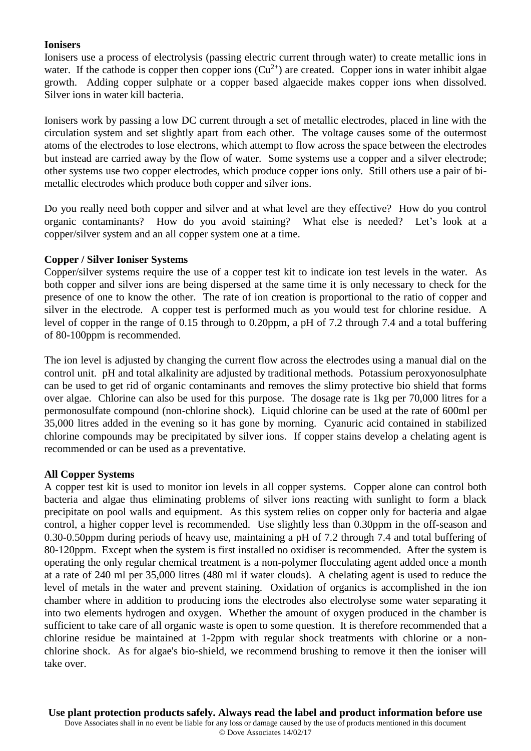## **Ionisers**

Ionisers use a process of electrolysis (passing electric current through water) to create metallic ions in water. If the cathode is copper then copper ions  $(Cu^{2+})$  are created. Copper ions in water inhibit algae growth. Adding copper sulphate or a copper based algaecide makes copper ions when dissolved. Silver ions in water kill bacteria.

Ionisers work by passing a low DC current through a set of metallic electrodes, placed in line with the circulation system and set slightly apart from each other. The voltage causes some of the outermost atoms of the electrodes to lose electrons, which attempt to flow across the space between the electrodes but instead are carried away by the flow of water. Some systems use a copper and a silver electrode; other systems use two copper electrodes, which produce copper ions only. Still others use a pair of bimetallic electrodes which produce both copper and silver ions.

Do you really need both copper and silver and at what level are they effective? How do you control organic contaminants? How do you avoid staining? What else is needed? Let's look at a copper/silver system and an all copper system one at a time.

## **Copper / Silver Ioniser Systems**

Copper/silver systems require the use of a copper test kit to indicate ion test levels in the water. As both copper and silver ions are being dispersed at the same time it is only necessary to check for the presence of one to know the other. The rate of ion creation is proportional to the ratio of copper and silver in the electrode. A copper test is performed much as you would test for chlorine residue. A level of copper in the range of 0.15 through to 0.20ppm, a pH of 7.2 through 7.4 and a total buffering of 80-100ppm is recommended.

The ion level is adjusted by changing the current flow across the electrodes using a manual dial on the control unit. pH and total alkalinity are adjusted by traditional methods. Potassium peroxyonosulphate can be used to get rid of organic contaminants and removes the slimy protective bio shield that forms over algae. Chlorine can also be used for this purpose. The dosage rate is 1kg per 70,000 litres for a permonosulfate compound (non-chlorine shock). Liquid chlorine can be used at the rate of 600ml per 35,000 litres added in the evening so it has gone by morning. Cyanuric acid contained in stabilized chlorine compounds may be precipitated by silver ions. If copper stains develop a chelating agent is recommended or can be used as a preventative.

#### **All Copper Systems**

A copper test kit is used to monitor ion levels in all copper systems. Copper alone can control both bacteria and algae thus eliminating problems of silver ions reacting with sunlight to form a black precipitate on pool walls and equipment. As this system relies on copper only for bacteria and algae control, a higher copper level is recommended. Use slightly less than 0.30ppm in the off-season and 0.30-0.50ppm during periods of heavy use, maintaining a pH of 7.2 through 7.4 and total buffering of 80-120ppm. Except when the system is first installed no oxidiser is recommended. After the system is operating the only regular chemical treatment is a non-polymer flocculating agent added once a month at a rate of 240 ml per 35,000 litres (480 ml if water clouds). A chelating agent is used to reduce the level of metals in the water and prevent staining. Oxidation of organics is accomplished in the ion chamber where in addition to producing ions the electrodes also electrolyse some water separating it into two elements hydrogen and oxygen. Whether the amount of oxygen produced in the chamber is sufficient to take care of all organic waste is open to some question. It is therefore recommended that a chlorine residue be maintained at 1-2ppm with regular shock treatments with chlorine or a nonchlorine shock. As for algae's bio-shield, we recommend brushing to remove it then the ioniser will take over.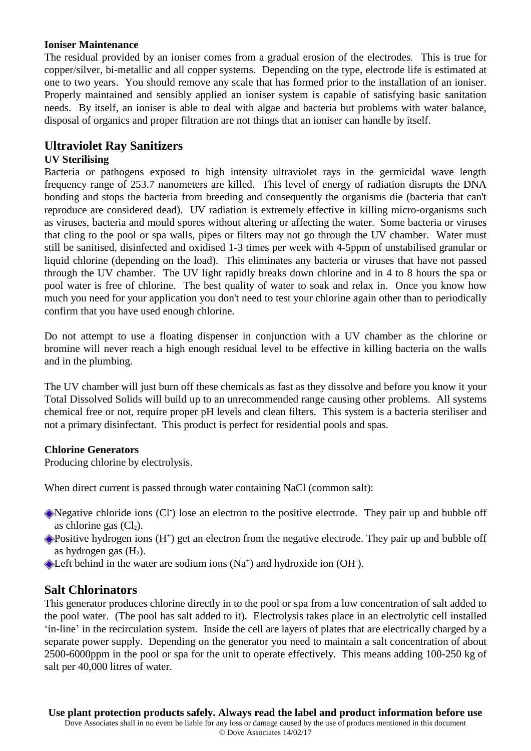## **Ioniser Maintenance**

The residual provided by an ioniser comes from a gradual erosion of the electrodes. This is true for copper/silver, bi-metallic and all copper systems. Depending on the type, electrode life is estimated at one to two years. You should remove any scale that has formed prior to the installation of an ioniser. Properly maintained and sensibly applied an ioniser system is capable of satisfying basic sanitation needs. By itself, an ioniser is able to deal with algae and bacteria but problems with water balance, disposal of organics and proper filtration are not things that an ioniser can handle by itself.

## **Ultraviolet Ray Sanitizers**

## **UV Sterilising**

Bacteria or pathogens exposed to high intensity ultraviolet rays in the germicidal wave length frequency range of 253.7 nanometers are killed. This level of energy of radiation disrupts the DNA bonding and stops the bacteria from breeding and consequently the organisms die (bacteria that can't reproduce are considered dead). UV radiation is extremely effective in killing micro-organisms such as viruses, bacteria and mould spores without altering or affecting the water. Some bacteria or viruses that cling to the pool or spa walls, pipes or filters may not go through the UV chamber. Water must still be sanitised, disinfected and oxidised 1-3 times per week with 4-5ppm of unstabilised granular or liquid chlorine (depending on the load). This eliminates any bacteria or viruses that have not passed through the UV chamber. The UV light rapidly breaks down chlorine and in 4 to 8 hours the spa or pool water is free of chlorine. The best quality of water to soak and relax in. Once you know how much you need for your application you don't need to test your chlorine again other than to periodically confirm that you have used enough chlorine.

Do not attempt to use a floating dispenser in conjunction with a UV chamber as the chlorine or bromine will never reach a high enough residual level to be effective in killing bacteria on the walls and in the plumbing.

The UV chamber will just burn off these chemicals as fast as they dissolve and before you know it your Total Dissolved Solids will build up to an unrecommended range causing other problems. All systems chemical free or not, require proper pH levels and clean filters. This system is a bacteria steriliser and not a primary disinfectant. This product is perfect for residential pools and spas.

## **Chlorine Generators**

Producing chlorine by electrolysis.

When direct current is passed through water containing NaCl (common salt):

Negative chloride ions (Cl<sup>-</sup>) lose an electron to the positive electrode. They pair up and bubble off as chlorine gas  $(Cl<sub>2</sub>)$ .

Positive hydrogen ions (H<sup>+</sup>) get an electron from the negative electrode. They pair up and bubble off as hydrogen gas  $(H<sub>2</sub>)$ .

Left behind in the water are sodium ions  $(Na<sup>+</sup>)$  and hydroxide ion  $(OH<sup>-</sup>)$ .

## **Salt Chlorinators**

This generator produces chlorine directly in to the pool or spa from a low concentration of salt added to the pool water. (The pool has salt added to it). Electrolysis takes place in an electrolytic cell installed 'in-line' in the recirculation system. Inside the cell are layers of plates that are electrically charged by a separate power supply. Depending on the generator you need to maintain a salt concentration of about 2500-6000ppm in the pool or spa for the unit to operate effectively. This means adding 100-250 kg of salt per 40,000 litres of water.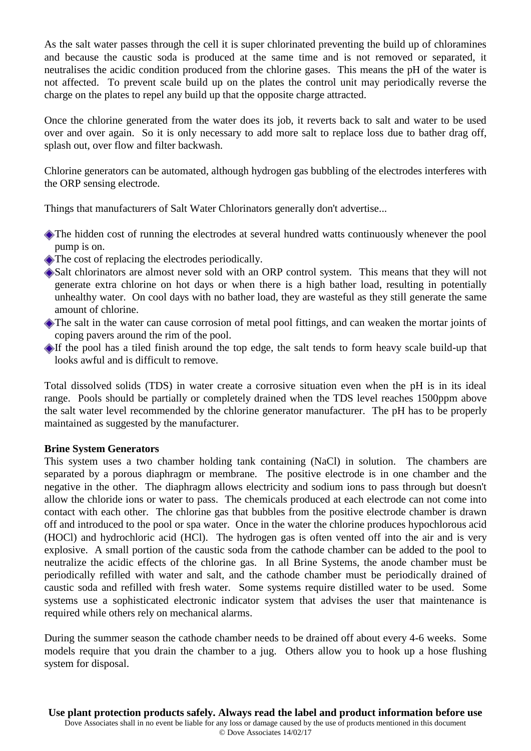As the salt water passes through the cell it is super chlorinated preventing the build up of chloramines and because the caustic soda is produced at the same time and is not removed or separated, it neutralises the acidic condition produced from the chlorine gases. This means the pH of the water is not affected. To prevent scale build up on the plates the control unit may periodically reverse the charge on the plates to repel any build up that the opposite charge attracted.

Once the chlorine generated from the water does its job, it reverts back to salt and water to be used over and over again. So it is only necessary to add more salt to replace loss due to bather drag off, splash out, over flow and filter backwash.

Chlorine generators can be automated, although hydrogen gas bubbling of the electrodes interferes with the ORP sensing electrode.

Things that manufacturers of Salt Water Chlorinators generally don't advertise...

- The hidden cost of running the electrodes at several hundred watts continuously whenever the pool pump is on.
- The cost of replacing the electrodes periodically.
- Salt chlorinators are almost never sold with an ORP control system. This means that they will not generate extra chlorine on hot days or when there is a high bather load, resulting in potentially unhealthy water. On cool days with no bather load, they are wasteful as they still generate the same amount of chlorine.
- The salt in the water can cause corrosion of metal pool fittings, and can weaken the mortar joints of coping pavers around the rim of the pool.
- If the pool has a tiled finish around the top edge, the salt tends to form heavy scale build-up that looks awful and is difficult to remove.

Total dissolved solids (TDS) in water create a corrosive situation even when the pH is in its ideal range. Pools should be partially or completely drained when the TDS level reaches 1500ppm above the salt water level recommended by the chlorine generator manufacturer. The pH has to be properly maintained as suggested by the manufacturer.

#### **Brine System Generators**

This system uses a two chamber holding tank containing (NaCl) in solution. The chambers are separated by a porous diaphragm or membrane. The positive electrode is in one chamber and the negative in the other. The diaphragm allows electricity and sodium ions to pass through but doesn't allow the chloride ions or water to pass. The chemicals produced at each electrode can not come into contact with each other. The chlorine gas that bubbles from the positive electrode chamber is drawn off and introduced to the pool or spa water. Once in the water the chlorine produces hypochlorous acid (HOCl) and hydrochloric acid (HCl). The hydrogen gas is often vented off into the air and is very explosive. A small portion of the caustic soda from the cathode chamber can be added to the pool to neutralize the acidic effects of the chlorine gas. In all Brine Systems, the anode chamber must be periodically refilled with water and salt, and the cathode chamber must be periodically drained of caustic soda and refilled with fresh water. Some systems require distilled water to be used. Some systems use a sophisticated electronic indicator system that advises the user that maintenance is required while others rely on mechanical alarms.

During the summer season the cathode chamber needs to be drained off about every 4-6 weeks. Some models require that you drain the chamber to a jug. Others allow you to hook up a hose flushing system for disposal.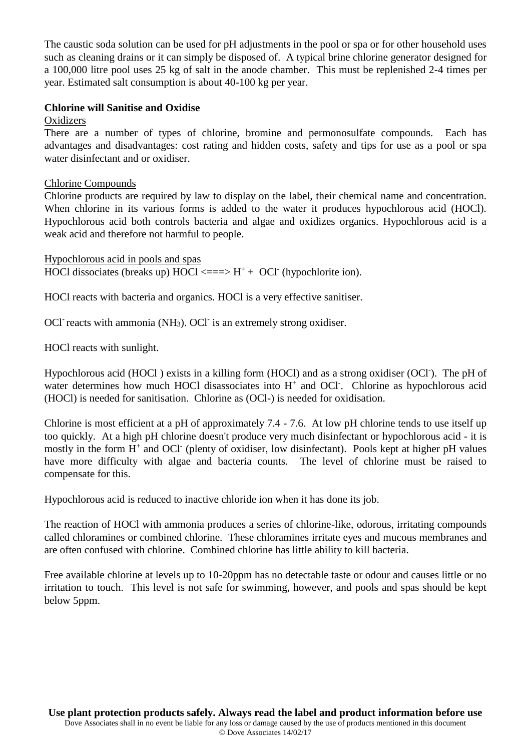The caustic soda solution can be used for pH adjustments in the pool or spa or for other household uses such as cleaning drains or it can simply be disposed of. A typical brine chlorine generator designed for a 100,000 litre pool uses 25 kg of salt in the anode chamber. This must be replenished 2-4 times per year. Estimated salt consumption is about 40-100 kg per year.

## **Chlorine will Sanitise and Oxidise**

#### **Oxidizers**

There are a number of types of chlorine, bromine and permonosulfate compounds. Each has advantages and disadvantages: cost rating and hidden costs, safety and tips for use as a pool or spa water disinfectant and or oxidiser.

## Chlorine Compounds

Chlorine products are required by law to display on the label, their chemical name and concentration. When chlorine in its various forms is added to the water it produces hypochlorous acid (HOCl). Hypochlorous acid both controls bacteria and algae and oxidizes organics. Hypochlorous acid is a weak acid and therefore not harmful to people.

Hypochlorous acid in pools and spas HOCl dissociates (breaks up) HOCl <== $>$  H<sup>+</sup> + OCl<sup>-</sup> (hypochlorite ion).

HOCl reacts with bacteria and organics. HOCl is a very effective sanitiser.

OCl<sup>-</sup> reacts with ammonia (NH<sub>3</sub>). OCl<sup>-</sup> is an extremely strong oxidiser.

HOCl reacts with sunlight.

Hypochlorous acid (HOCl) exists in a killing form (HOCl) and as a strong oxidiser (OCl). The pH of water determines how much HOCl disassociates into H<sup>+</sup> and OCl<sup>-</sup>. Chlorine as hypochlorous acid (HOCl) is needed for sanitisation. Chlorine as (OCl-) is needed for oxidisation.

Chlorine is most efficient at a pH of approximately 7.4 - 7.6. At low pH chlorine tends to use itself up too quickly. At a high pH chlorine doesn't produce very much disinfectant or hypochlorous acid - it is mostly in the form H<sup>+</sup> and OCl<sup>-</sup> (plenty of oxidiser, low disinfectant). Pools kept at higher pH values have more difficulty with algae and bacteria counts. The level of chlorine must be raised to compensate for this.

Hypochlorous acid is reduced to inactive chloride ion when it has done its job.

The reaction of HOCl with ammonia produces a series of chlorine-like, odorous, irritating compounds called chloramines or combined chlorine. These chloramines irritate eyes and mucous membranes and are often confused with chlorine. Combined chlorine has little ability to kill bacteria.

Free available chlorine at levels up to 10-20ppm has no detectable taste or odour and causes little or no irritation to touch. This level is not safe for swimming, however, and pools and spas should be kept below 5ppm.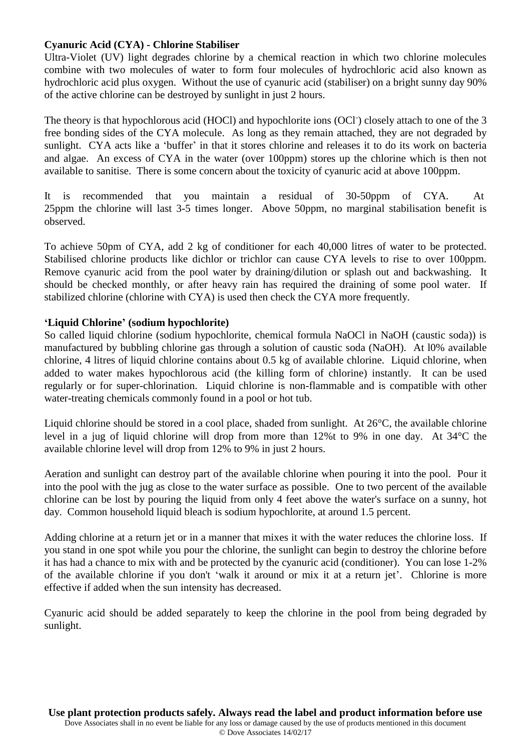## **Cyanuric Acid (CYA) - Chlorine Stabiliser**

Ultra-Violet (UV) light degrades chlorine by a chemical reaction in which two chlorine molecules combine with two molecules of water to form four molecules of hydrochloric acid also known as hydrochloric acid plus oxygen. Without the use of cyanuric acid (stabiliser) on a bright sunny day 90% of the active chlorine can be destroyed by sunlight in just 2 hours.

The theory is that hypochlorous acid (HOCl) and hypochlorite ions (OCl<sup>-</sup>) closely attach to one of the 3 free bonding sides of the CYA molecule. As long as they remain attached, they are not degraded by sunlight. CYA acts like a 'buffer' in that it stores chlorine and releases it to do its work on bacteria and algae. An excess of CYA in the water (over 100ppm) stores up the chlorine which is then not available to sanitise. There is some concern about the toxicity of cyanuric acid at above 100ppm.

It is recommended that you maintain a residual of 30-50ppm of CYA. At 25ppm the chlorine will last 3-5 times longer. Above 50ppm, no marginal stabilisation benefit is observed.

To achieve 50pm of CYA, add 2 kg of conditioner for each 40,000 litres of water to be protected. Stabilised chlorine products like dichlor or trichlor can cause CYA levels to rise to over 100ppm. Remove cyanuric acid from the pool water by draining/dilution or splash out and backwashing. It should be checked monthly, or after heavy rain has required the draining of some pool water. If stabilized chlorine (chlorine with CYA) is used then check the CYA more frequently.

## **'Liquid Chlorine' (sodium hypochlorite)**

So called liquid chlorine (sodium hypochlorite, chemical formula NaOCl in NaOH (caustic soda)) is manufactured by bubbling chlorine gas through a solution of caustic soda (NaOH). At l0% available chlorine, 4 litres of liquid chlorine contains about 0.5 kg of available chlorine. Liquid chlorine, when added to water makes hypochlorous acid (the killing form of chlorine) instantly. It can be used regularly or for super-chlorination. Liquid chlorine is non-flammable and is compatible with other water-treating chemicals commonly found in a pool or hot tub.

Liquid chlorine should be stored in a cool place, shaded from sunlight. At 26°C, the available chlorine level in a jug of liquid chlorine will drop from more than 12%t to 9% in one day. At 34°C the available chlorine level will drop from 12% to 9% in just 2 hours.

Aeration and sunlight can destroy part of the available chlorine when pouring it into the pool. Pour it into the pool with the jug as close to the water surface as possible. One to two percent of the available chlorine can be lost by pouring the liquid from only 4 feet above the water's surface on a sunny, hot day. Common household liquid bleach is sodium hypochlorite, at around 1.5 percent.

Adding chlorine at a return jet or in a manner that mixes it with the water reduces the chlorine loss. If you stand in one spot while you pour the chlorine, the sunlight can begin to destroy the chlorine before it has had a chance to mix with and be protected by the cyanuric acid (conditioner). You can lose 1-2% of the available chlorine if you don't 'walk it around or mix it at a return jet'. Chlorine is more effective if added when the sun intensity has decreased.

Cyanuric acid should be added separately to keep the chlorine in the pool from being degraded by sunlight.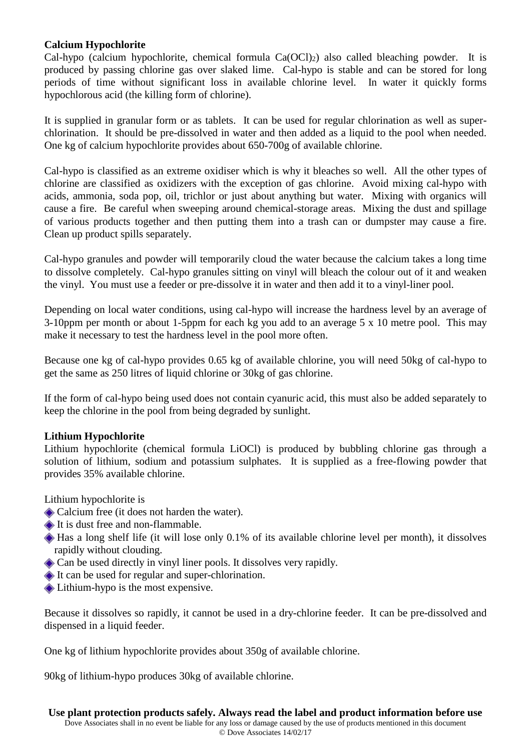## **Calcium Hypochlorite**

Cal-hypo (calcium hypochlorite, chemical formula  $Ca(OCl<sub>2</sub>)$  also called bleaching powder. It is produced by passing chlorine gas over slaked lime. Cal-hypo is stable and can be stored for long periods of time without significant loss in available chlorine level. In water it quickly forms hypochlorous acid (the killing form of chlorine).

It is supplied in granular form or as tablets. It can be used for regular chlorination as well as superchlorination. It should be pre-dissolved in water and then added as a liquid to the pool when needed. One kg of calcium hypochlorite provides about 650-700g of available chlorine.

Cal-hypo is classified as an extreme oxidiser which is why it bleaches so well. All the other types of chlorine are classified as oxidizers with the exception of gas chlorine. Avoid mixing cal-hypo with acids, ammonia, soda pop, oil, trichlor or just about anything but water. Mixing with organics will cause a fire. Be careful when sweeping around chemical-storage areas. Mixing the dust and spillage of various products together and then putting them into a trash can or dumpster may cause a fire. Clean up product spills separately.

Cal-hypo granules and powder will temporarily cloud the water because the calcium takes a long time to dissolve completely. Cal-hypo granules sitting on vinyl will bleach the colour out of it and weaken the vinyl. You must use a feeder or pre-dissolve it in water and then add it to a vinyl-liner pool.

Depending on local water conditions, using cal-hypo will increase the hardness level by an average of 3-10ppm per month or about 1-5ppm for each kg you add to an average 5 x 10 metre pool. This may make it necessary to test the hardness level in the pool more often.

Because one kg of cal-hypo provides 0.65 kg of available chlorine, you will need 50kg of cal-hypo to get the same as 250 litres of liquid chlorine or 30kg of gas chlorine.

If the form of cal-hypo being used does not contain cyanuric acid, this must also be added separately to keep the chlorine in the pool from being degraded by sunlight.

## **Lithium Hypochlorite**

Lithium hypochlorite (chemical formula LiOCl) is produced by bubbling chlorine gas through a solution of lithium, sodium and potassium sulphates. It is supplied as a free-flowing powder that provides 35% available chlorine.

Lithium hypochlorite is

- Calcium free (it does not harden the water).
- It is dust free and non-flammable.
- Has a long shelf life (it will lose only 0.1% of its available chlorine level per month), it dissolves rapidly without clouding.
- Can be used directly in vinyl liner pools. It dissolves very rapidly.
- It can be used for regular and super-chlorination.
- **◆ Lithium-hypo is the most expensive.**

Because it dissolves so rapidly, it cannot be used in a dry-chlorine feeder. It can be pre-dissolved and dispensed in a liquid feeder.

One kg of lithium hypochlorite provides about 350g of available chlorine.

90kg of lithium-hypo produces 30kg of available chlorine.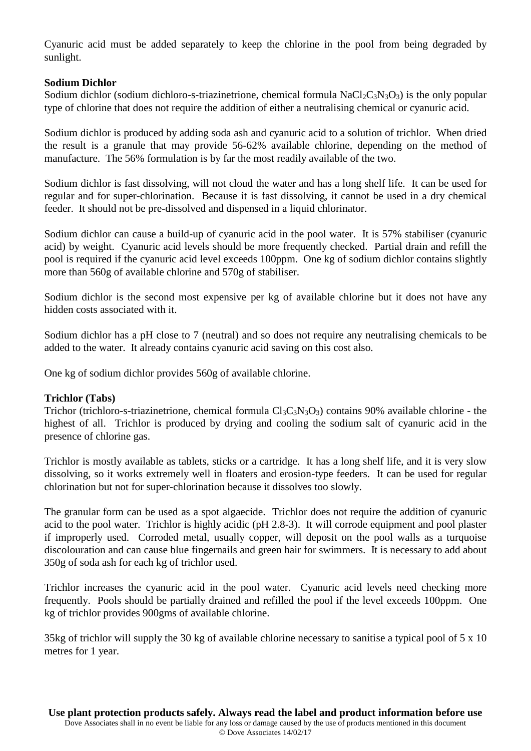Cyanuric acid must be added separately to keep the chlorine in the pool from being degraded by sunlight.

#### **Sodium Dichlor**

Sodium dichlor (sodium dichloro-s-triazinetrione, chemical formula NaCl<sub>2</sub>C<sub>3</sub>N<sub>3</sub>O<sub>3</sub>) is the only popular type of chlorine that does not require the addition of either a neutralising chemical or cyanuric acid.

Sodium dichlor is produced by adding soda ash and cyanuric acid to a solution of trichlor. When dried the result is a granule that may provide 56-62% available chlorine, depending on the method of manufacture. The 56% formulation is by far the most readily available of the two.

Sodium dichlor is fast dissolving, will not cloud the water and has a long shelf life. It can be used for regular and for super-chlorination. Because it is fast dissolving, it cannot be used in a dry chemical feeder. It should not be pre-dissolved and dispensed in a liquid chlorinator.

Sodium dichlor can cause a build-up of cyanuric acid in the pool water. It is 57% stabiliser (cyanuric acid) by weight. Cyanuric acid levels should be more frequently checked. Partial drain and refill the pool is required if the cyanuric acid level exceeds 100ppm. One kg of sodium dichlor contains slightly more than 560g of available chlorine and 570g of stabiliser.

Sodium dichlor is the second most expensive per kg of available chlorine but it does not have any hidden costs associated with it.

Sodium dichlor has a pH close to 7 (neutral) and so does not require any neutralising chemicals to be added to the water. It already contains cyanuric acid saving on this cost also.

One kg of sodium dichlor provides 560g of available chlorine.

## **Trichlor (Tabs)**

Trichor (trichloro-s-triazinetrione, chemical formula  $Cl_3C_3N_3O_3$ ) contains 90% available chlorine - the highest of all. Trichlor is produced by drying and cooling the sodium salt of cyanuric acid in the presence of chlorine gas.

Trichlor is mostly available as tablets, sticks or a cartridge. It has a long shelf life, and it is very slow dissolving, so it works extremely well in floaters and erosion-type feeders. It can be used for regular chlorination but not for super-chlorination because it dissolves too slowly.

The granular form can be used as a spot algaecide. Trichlor does not require the addition of cyanuric acid to the pool water. Trichlor is highly acidic (pH 2.8-3). It will corrode equipment and pool plaster if improperly used. Corroded metal, usually copper, will deposit on the pool walls as a turquoise discolouration and can cause blue fingernails and green hair for swimmers. It is necessary to add about 350g of soda ash for each kg of trichlor used.

Trichlor increases the cyanuric acid in the pool water. Cyanuric acid levels need checking more frequently. Pools should be partially drained and refilled the pool if the level exceeds 100ppm. One kg of trichlor provides 900gms of available chlorine.

35kg of trichlor will supply the 30 kg of available chlorine necessary to sanitise a typical pool of 5 x 10 metres for 1 year.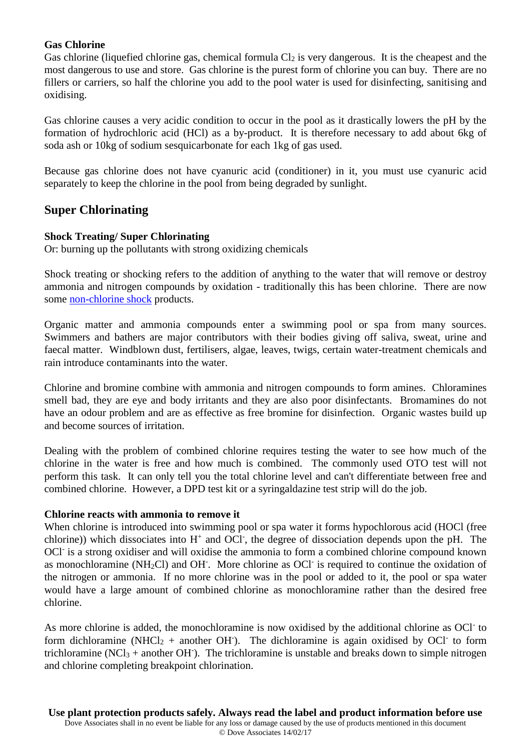## **Gas Chlorine**

Gas chlorine (liquefied chlorine gas, chemical formula  $Cl_2$  is very dangerous. It is the cheapest and the most dangerous to use and store. Gas chlorine is the purest form of chlorine you can buy. There are no fillers or carriers, so half the chlorine you add to the pool water is used for disinfecting, sanitising and oxidising.

Gas chlorine causes a very acidic condition to occur in the pool as it drastically lowers the pH by the formation of hydrochloric acid (HCl) as a by-product. It is therefore necessary to add about 6kg of soda ash or 10kg of sodium sesquicarbonate for each 1kg of gas used.

Because gas chlorine does not have cyanuric acid (conditioner) in it, you must use cyanuric acid separately to keep the chlorine in the pool from being degraded by sunlight.

## **Super Chlorinating**

#### **Shock Treating/ Super Chlorinating**

Or: burning up the pollutants with strong oxidizing chemicals

Shock treating or shocking refers to the addition of anything to the water that will remove or destroy ammonia and nitrogen compounds by oxidation - traditionally this has been chlorine. There are now some [non-chlorine shock](http://www.tps.com.au/pools/shock.htm#nonchlr) products.

Organic matter and ammonia compounds enter a swimming pool or spa from many sources. Swimmers and bathers are major contributors with their bodies giving off saliva, sweat, urine and faecal matter. Windblown dust, fertilisers, algae, leaves, twigs, certain water-treatment chemicals and rain introduce contaminants into the water.

Chlorine and bromine combine with ammonia and nitrogen compounds to form amines. Chloramines smell bad, they are eye and body irritants and they are also poor disinfectants. Bromamines do not have an odour problem and are as effective as free bromine for disinfection. Organic wastes build up and become sources of irritation.

Dealing with the problem of combined chlorine requires testing the water to see how much of the chlorine in the water is free and how much is combined. The commonly used OTO test will not perform this task. It can only tell you the total chlorine level and can't differentiate between free and combined chlorine. However, a DPD test kit or a syringaldazine test strip will do the job.

#### **Chlorine reacts with ammonia to remove it**

When chlorine is introduced into swimming pool or spa water it forms hypochlorous acid (HOCl (free chlorine)) which dissociates into  $H^+$  and OCl<sup>-</sup>, the degree of dissociation depends upon the pH. The OCl<sup>-</sup> is a strong oxidiser and will oxidise the ammonia to form a combined chlorine compound known as monochloramine (NH<sub>2</sub>Cl) and OH<sup>-</sup>. More chlorine as OCl<sup>-</sup> is required to continue the oxidation of the nitrogen or ammonia. If no more chlorine was in the pool or added to it, the pool or spa water would have a large amount of combined chlorine as monochloramine rather than the desired free chlorine.

As more chlorine is added, the monochloramine is now oxidised by the additional chlorine as OCl<sup>-</sup> to form dichloramine (NHCl<sub>2</sub> + another OH $\cdot$ ). The dichloramine is again oxidised by OCl $\cdot$  to form trichloramine (NCl<sub>3</sub> + another OH $\cdot$ ). The trichloramine is unstable and breaks down to simple nitrogen and chlorine completing breakpoint chlorination.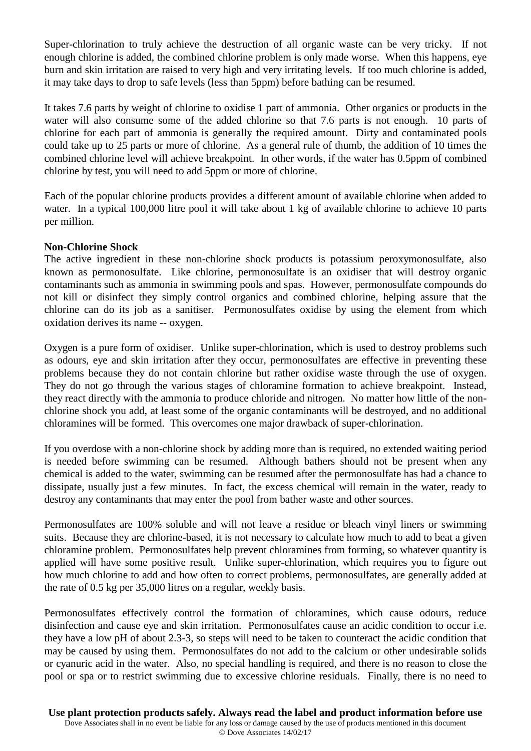Super-chlorination to truly achieve the destruction of all organic waste can be very tricky. If not enough chlorine is added, the combined chlorine problem is only made worse. When this happens, eye burn and skin irritation are raised to very high and very irritating levels. If too much chlorine is added, it may take days to drop to safe levels (less than 5ppm) before bathing can be resumed.

It takes 7.6 parts by weight of chlorine to oxidise 1 part of ammonia. Other organics or products in the water will also consume some of the added chlorine so that 7.6 parts is not enough. 10 parts of chlorine for each part of ammonia is generally the required amount. Dirty and contaminated pools could take up to 25 parts or more of chlorine. As a general rule of thumb, the addition of 10 times the combined chlorine level will achieve breakpoint. In other words, if the water has 0.5ppm of combined chlorine by test, you will need to add 5ppm or more of chlorine.

Each of the popular chlorine products provides a different amount of available chlorine when added to water. In a typical 100,000 litre pool it will take about 1 kg of available chlorine to achieve 10 parts per million.

## **Non-Chlorine Shock**

The active ingredient in these non-chlorine shock products is potassium peroxymonosulfate, also known as permonosulfate. Like chlorine, permonosulfate is an oxidiser that will destroy organic contaminants such as ammonia in swimming pools and spas. However, permonosulfate compounds do not kill or disinfect they simply control organics and combined chlorine, helping assure that the chlorine can do its job as a sanitiser. Permonosulfates oxidise by using the element from which oxidation derives its name -- oxygen.

Oxygen is a pure form of oxidiser. Unlike super-chlorination, which is used to destroy problems such as odours, eye and skin irritation after they occur, permonosulfates are effective in preventing these problems because they do not contain chlorine but rather oxidise waste through the use of oxygen. They do not go through the various stages of chloramine formation to achieve breakpoint. Instead, they react directly with the ammonia to produce chloride and nitrogen. No matter how little of the nonchlorine shock you add, at least some of the organic contaminants will be destroyed, and no additional chloramines will be formed. This overcomes one major drawback of super-chlorination.

If you overdose with a non-chlorine shock by adding more than is required, no extended waiting period is needed before swimming can be resumed. Although bathers should not be present when any chemical is added to the water, swimming can be resumed after the permonosulfate has had a chance to dissipate, usually just a few minutes. In fact, the excess chemical will remain in the water, ready to destroy any contaminants that may enter the pool from bather waste and other sources.

Permonosulfates are 100% soluble and will not leave a residue or bleach vinyl liners or swimming suits. Because they are chlorine-based, it is not necessary to calculate how much to add to beat a given chloramine problem. Permonosulfates help prevent chloramines from forming, so whatever quantity is applied will have some positive result. Unlike super-chlorination, which requires you to figure out how much chlorine to add and how often to correct problems, permonosulfates, are generally added at the rate of 0.5 kg per 35,000 litres on a regular, weekly basis.

Permonosulfates effectively control the formation of chloramines, which cause odours, reduce disinfection and cause eye and skin irritation. Permonosulfates cause an acidic condition to occur i.e. they have a low pH of about 2.3-3, so steps will need to be taken to counteract the acidic condition that may be caused by using them. Permonosulfates do not add to the calcium or other undesirable solids or cyanuric acid in the water. Also, no special handling is required, and there is no reason to close the pool or spa or to restrict swimming due to excessive chlorine residuals. Finally, there is no need to